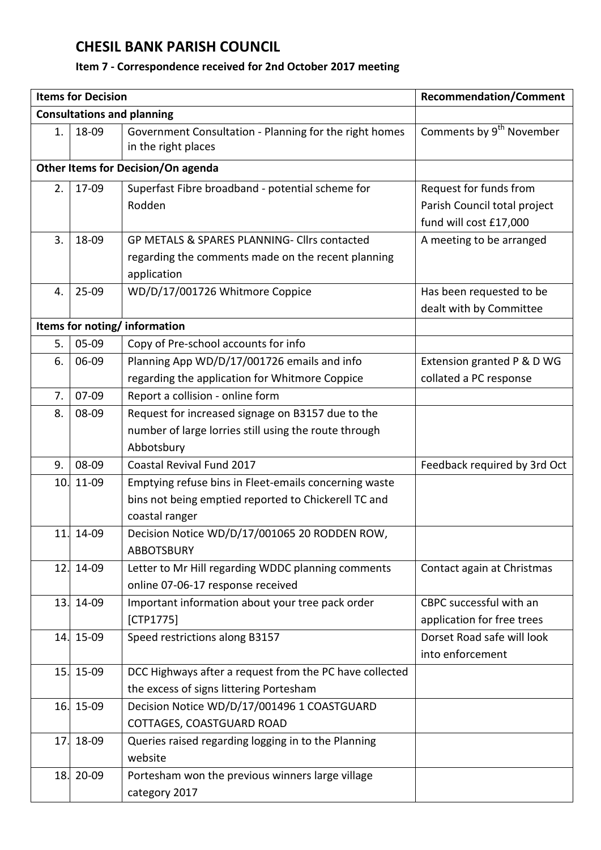## **CHESIL BANK PARISH COUNCIL**

## **Item 7 - Correspondence received for 2nd October 2017 meeting**

|                                    | <b>Items for Decision</b> | <b>Recommendation/Comment</b>                                                 |                                      |  |  |  |
|------------------------------------|---------------------------|-------------------------------------------------------------------------------|--------------------------------------|--|--|--|
| <b>Consultations and planning</b>  |                           |                                                                               |                                      |  |  |  |
| 1.                                 | 18-09                     | Government Consultation - Planning for the right homes<br>in the right places | Comments by 9 <sup>th</sup> November |  |  |  |
| Other Items for Decision/On agenda |                           |                                                                               |                                      |  |  |  |
| 2.                                 | 17-09                     | Superfast Fibre broadband - potential scheme for                              | Request for funds from               |  |  |  |
|                                    |                           | Rodden                                                                        | Parish Council total project         |  |  |  |
|                                    |                           |                                                                               | fund will cost £17,000               |  |  |  |
| 3.                                 | 18-09                     | GP METALS & SPARES PLANNING- Cllrs contacted                                  | A meeting to be arranged             |  |  |  |
|                                    |                           | regarding the comments made on the recent planning                            |                                      |  |  |  |
|                                    |                           | application                                                                   |                                      |  |  |  |
| 4.                                 | $25 - 09$                 | WD/D/17/001726 Whitmore Coppice                                               | Has been requested to be             |  |  |  |
|                                    |                           |                                                                               | dealt with by Committee              |  |  |  |
| Items for noting/information       |                           |                                                                               |                                      |  |  |  |
| 5.                                 | 05-09                     | Copy of Pre-school accounts for info                                          |                                      |  |  |  |
| 6.                                 | 06-09                     | Planning App WD/D/17/001726 emails and info                                   | Extension granted P & D WG           |  |  |  |
|                                    |                           | regarding the application for Whitmore Coppice                                | collated a PC response               |  |  |  |
| 7.                                 | 07-09                     | Report a collision - online form                                              |                                      |  |  |  |
| 8.                                 | 08-09                     | Request for increased signage on B3157 due to the                             |                                      |  |  |  |
|                                    |                           | number of large lorries still using the route through                         |                                      |  |  |  |
|                                    |                           | Abbotsbury                                                                    |                                      |  |  |  |
| 9.                                 | 08-09                     | Coastal Revival Fund 2017                                                     | Feedback required by 3rd Oct         |  |  |  |
| 10.                                | 11-09                     | Emptying refuse bins in Fleet-emails concerning waste                         |                                      |  |  |  |
|                                    |                           | bins not being emptied reported to Chickerell TC and                          |                                      |  |  |  |
|                                    |                           | coastal ranger                                                                |                                      |  |  |  |
| 11.                                | 14-09                     | Decision Notice WD/D/17/001065 20 RODDEN ROW,                                 |                                      |  |  |  |
|                                    |                           | <b>ABBOTSBURY</b>                                                             |                                      |  |  |  |
| 12.                                | 14-09                     | Letter to Mr Hill regarding WDDC planning comments                            | Contact again at Christmas           |  |  |  |
|                                    |                           | online 07-06-17 response received                                             |                                      |  |  |  |
| 13.                                | 14-09                     | Important information about your tree pack order                              | CBPC successful with an              |  |  |  |
|                                    |                           | [CTP1775]                                                                     | application for free trees           |  |  |  |
|                                    | 14. 15-09                 | Speed restrictions along B3157                                                | Dorset Road safe will look           |  |  |  |
|                                    |                           |                                                                               | into enforcement                     |  |  |  |
|                                    | 15. 15-09                 | DCC Highways after a request from the PC have collected                       |                                      |  |  |  |
|                                    |                           | the excess of signs littering Portesham                                       |                                      |  |  |  |
| 16.                                | 15-09                     | Decision Notice WD/D/17/001496 1 COASTGUARD                                   |                                      |  |  |  |
|                                    |                           | COTTAGES, COASTGUARD ROAD                                                     |                                      |  |  |  |
| 17.                                | 18-09                     | Queries raised regarding logging in to the Planning                           |                                      |  |  |  |
|                                    |                           | website                                                                       |                                      |  |  |  |
| 18.                                | 20-09                     | Portesham won the previous winners large village                              |                                      |  |  |  |
|                                    |                           | category 2017                                                                 |                                      |  |  |  |